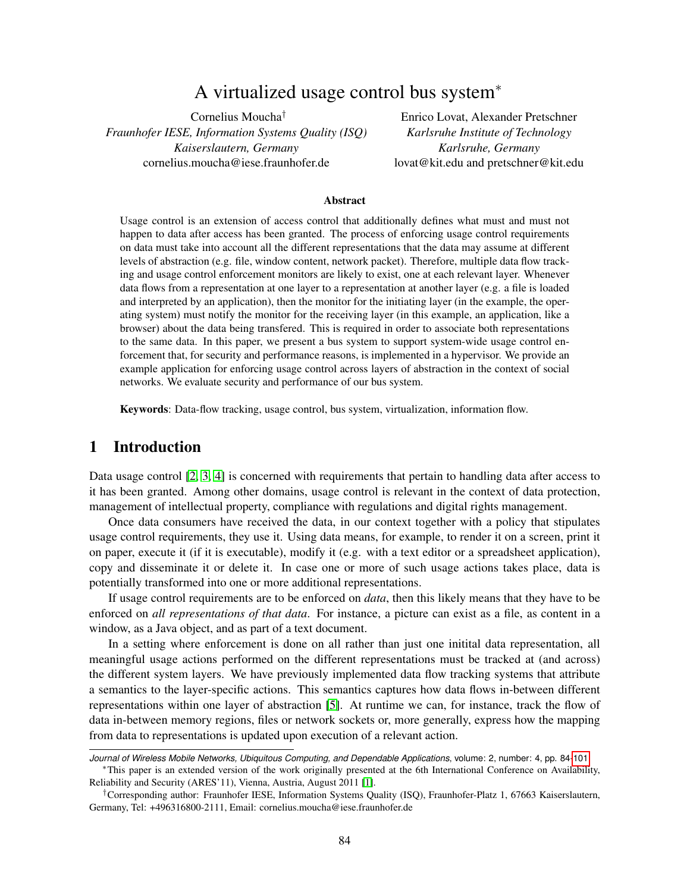# A virtualized usage control bus system<sup>∗</sup>

Cornelius Moucha† *Fraunhofer IESE, Information Systems Quality (ISQ) Kaiserslautern, Germany* cornelius.moucha@iese.fraunhofer.de

Enrico Lovat, Alexander Pretschner *Karlsruhe Institute of Technology Karlsruhe, Germany* lovat@kit.edu and pretschner@kit.edu

#### Abstract

Usage control is an extension of access control that additionally defines what must and must not happen to data after access has been granted. The process of enforcing usage control requirements on data must take into account all the different representations that the data may assume at different levels of abstraction (e.g. file, window content, network packet). Therefore, multiple data flow tracking and usage control enforcement monitors are likely to exist, one at each relevant layer. Whenever data flows from a representation at one layer to a representation at another layer (e.g. a file is loaded and interpreted by an application), then the monitor for the initiating layer (in the example, the operating system) must notify the monitor for the receiving layer (in this example, an application, like a browser) about the data being transfered. This is required in order to associate both representations to the same data. In this paper, we present a bus system to support system-wide usage control enforcement that, for security and performance reasons, is implemented in a hypervisor. We provide an example application for enforcing usage control across layers of abstraction in the context of social networks. We evaluate security and performance of our bus system.

Keywords: Data-flow tracking, usage control, bus system, virtualization, information flow.

### <span id="page-0-0"></span>1 Introduction

Data usage control [\[2,](#page-15-0) [3,](#page-15-1) [4\]](#page-15-2) is concerned with requirements that pertain to handling data after access to it has been granted. Among other domains, usage control is relevant in the context of data protection, management of intellectual property, compliance with regulations and digital rights management.

Once data consumers have received the data, in our context together with a policy that stipulates usage control requirements, they use it. Using data means, for example, to render it on a screen, print it on paper, execute it (if it is executable), modify it (e.g. with a text editor or a spreadsheet application), copy and disseminate it or delete it. In case one or more of such usage actions takes place, data is potentially transformed into one or more additional representations.

If usage control requirements are to be enforced on *data*, then this likely means that they have to be enforced on *all representations of that data*. For instance, a picture can exist as a file, as content in a window, as a Java object, and as part of a text document.

In a setting where enforcement is done on all rather than just one initital data representation, all meaningful usage actions performed on the different representations must be tracked at (and across) the different system layers. We have previously implemented data flow tracking systems that attribute a semantics to the layer-specific actions. This semantics captures how data flows in-between different representations within one layer of abstraction [\[5\]](#page-16-0). At runtime we can, for instance, track the flow of data in-between memory regions, files or network sockets or, more generally, express how the mapping from data to representations is updated upon execution of a relevant action.

*Journal of Wireless Mobile Networks, Ubiquitous Computing, and Dependable Applications*, volume: 2, number: 4, pp. 84[-101](#page-17-0)

<sup>∗</sup>This paper is an extended version of the work originally presented at the 6th International Conference on Availability, Reliability and Security (ARES'11), Vienna, Austria, August 2011 [\[1\]](#page-15-3).

<sup>†</sup>Corresponding author: Fraunhofer IESE, Information Systems Quality (ISQ), Fraunhofer-Platz 1, 67663 Kaiserslautern, Germany, Tel: +496316800-2111, Email: cornelius.moucha@iese.fraunhofer.de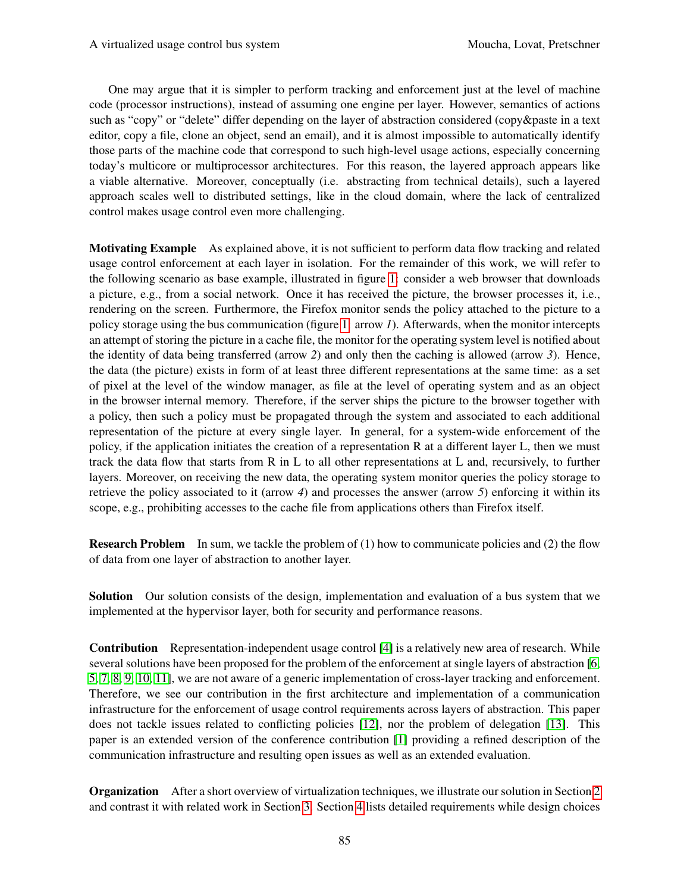One may argue that it is simpler to perform tracking and enforcement just at the level of machine code (processor instructions), instead of assuming one engine per layer. However, semantics of actions such as "copy" or "delete" differ depending on the layer of abstraction considered (copy&paste in a text editor, copy a file, clone an object, send an email), and it is almost impossible to automatically identify those parts of the machine code that correspond to such high-level usage actions, especially concerning today's multicore or multiprocessor architectures. For this reason, the layered approach appears like a viable alternative. Moreover, conceptually (i.e. abstracting from technical details), such a layered approach scales well to distributed settings, like in the cloud domain, where the lack of centralized control makes usage control even more challenging.

**Motivating Example** As explained above, it is not sufficient to perform data flow tracking and related usage control enforcement at each layer in isolation. For the remainder of this work, we will refer to the following scenario as base example, illustrated in figure [1:](#page-2-0) consider a web browser that downloads a picture, e.g., from a social network. Once it has received the picture, the browser processes it, i.e., rendering on the screen. Furthermore, the Firefox monitor sends the policy attached to the picture to a policy storage using the bus communication (figure [1:](#page-2-0) arrow *1*). Afterwards, when the monitor intercepts an attempt of storing the picture in a cache file, the monitor for the operating system level is notified about the identity of data being transferred (arrow *2*) and only then the caching is allowed (arrow *3*). Hence, the data (the picture) exists in form of at least three different representations at the same time: as a set of pixel at the level of the window manager, as file at the level of operating system and as an object in the browser internal memory. Therefore, if the server ships the picture to the browser together with a policy, then such a policy must be propagated through the system and associated to each additional representation of the picture at every single layer. In general, for a system-wide enforcement of the policy, if the application initiates the creation of a representation R at a different layer L, then we must track the data flow that starts from R in L to all other representations at L and, recursively, to further layers. Moreover, on receiving the new data, the operating system monitor queries the policy storage to retrieve the policy associated to it (arrow *4*) and processes the answer (arrow *5*) enforcing it within its scope, e.g., prohibiting accesses to the cache file from applications others than Firefox itself.

Research Problem In sum, we tackle the problem of (1) how to communicate policies and (2) the flow of data from one layer of abstraction to another layer.

Solution Our solution consists of the design, implementation and evaluation of a bus system that we implemented at the hypervisor layer, both for security and performance reasons.

Contribution Representation-independent usage control [\[4\]](#page-15-2) is a relatively new area of research. While several solutions have been proposed for the problem of the enforcement at single layers of abstraction [\[6,](#page-16-1) [5,](#page-16-0) [7,](#page-16-2) [8,](#page-16-3) [9,](#page-16-4) [10,](#page-16-5) [11\]](#page-16-6), we are not aware of a generic implementation of cross-layer tracking and enforcement. Therefore, we see our contribution in the first architecture and implementation of a communication infrastructure for the enforcement of usage control requirements across layers of abstraction. This paper does not tackle issues related to conflicting policies [\[12\]](#page-16-7), nor the problem of delegation [\[13\]](#page-16-8). This paper is an extended version of the conference contribution [\[1\]](#page-15-3) providing a refined description of the communication infrastructure and resulting open issues as well as an extended evaluation.

Organization After a short overview of virtualization techniques, we illustrate our solution in Section [2](#page-2-1) and contrast it with related work in Section [3.](#page-3-0) Section [4](#page-4-0) lists detailed requirements while design choices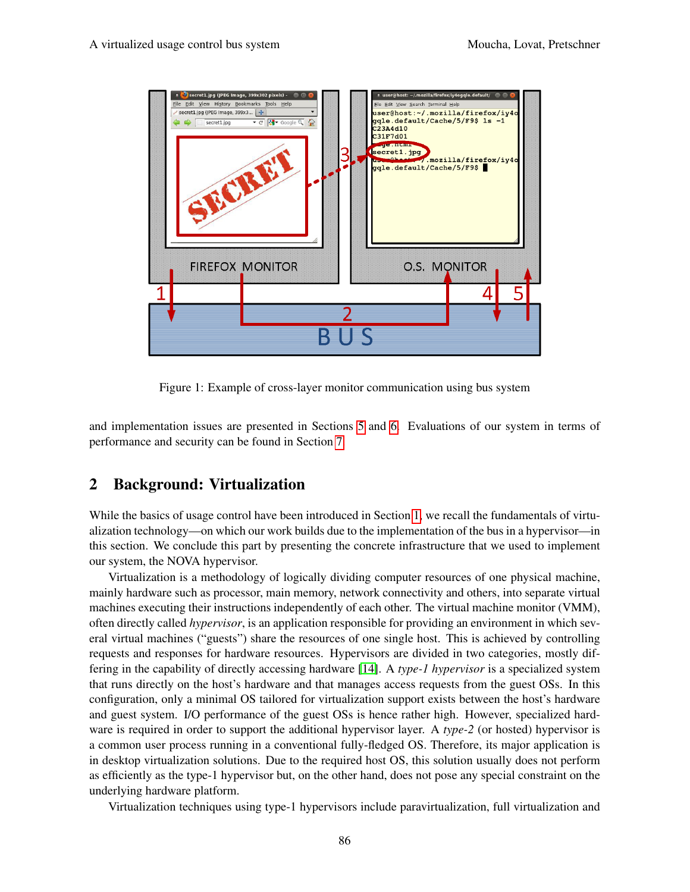

<span id="page-2-0"></span>Figure 1: Example of cross-layer monitor communication using bus system

and implementation issues are presented in Sections [5](#page-4-1) and [6.](#page-7-0) Evaluations of our system in terms of performance and security can be found in Section [7.](#page-9-0)

## <span id="page-2-1"></span>2 Background: Virtualization

While the basics of usage control have been introduced in Section [1,](#page-0-0) we recall the fundamentals of virtualization technology—on which our work builds due to the implementation of the bus in a hypervisor—in this section. We conclude this part by presenting the concrete infrastructure that we used to implement our system, the NOVA hypervisor.

Virtualization is a methodology of logically dividing computer resources of one physical machine, mainly hardware such as processor, main memory, network connectivity and others, into separate virtual machines executing their instructions independently of each other. The virtual machine monitor (VMM), often directly called *hypervisor*, is an application responsible for providing an environment in which several virtual machines ("guests") share the resources of one single host. This is achieved by controlling requests and responses for hardware resources. Hypervisors are divided in two categories, mostly differing in the capability of directly accessing hardware [\[14\]](#page-16-9). A *type-1 hypervisor* is a specialized system that runs directly on the host's hardware and that manages access requests from the guest OSs. In this configuration, only a minimal OS tailored for virtualization support exists between the host's hardware and guest system. I/O performance of the guest OSs is hence rather high. However, specialized hardware is required in order to support the additional hypervisor layer. A *type-2* (or hosted) hypervisor is a common user process running in a conventional fully-fledged OS. Therefore, its major application is in desktop virtualization solutions. Due to the required host OS, this solution usually does not perform as efficiently as the type-1 hypervisor but, on the other hand, does not pose any special constraint on the underlying hardware platform.

Virtualization techniques using type-1 hypervisors include paravirtualization, full virtualization and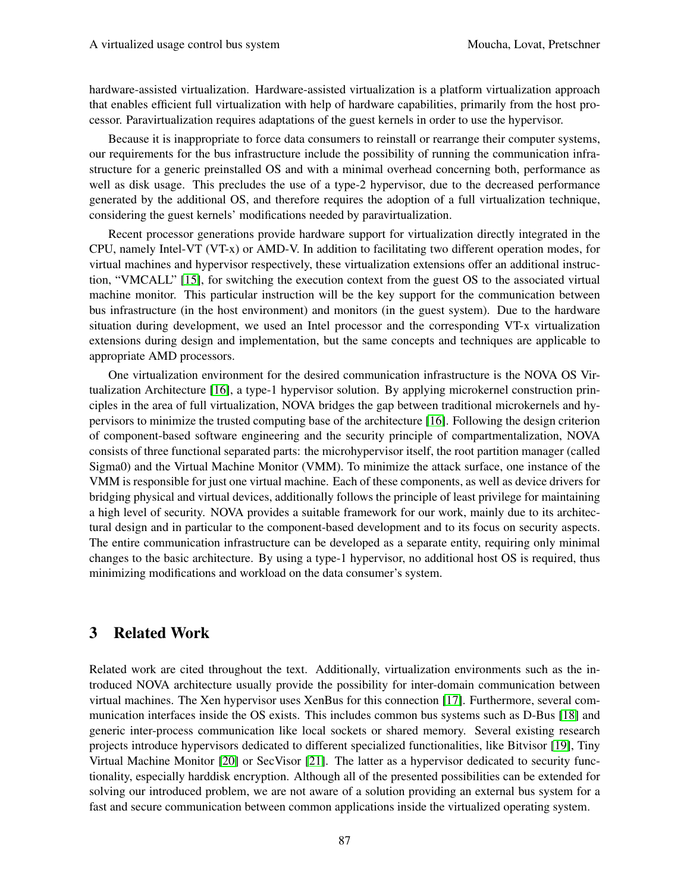hardware-assisted virtualization. Hardware-assisted virtualization is a platform virtualization approach that enables efficient full virtualization with help of hardware capabilities, primarily from the host processor. Paravirtualization requires adaptations of the guest kernels in order to use the hypervisor.

Because it is inappropriate to force data consumers to reinstall or rearrange their computer systems, our requirements for the bus infrastructure include the possibility of running the communication infrastructure for a generic preinstalled OS and with a minimal overhead concerning both, performance as well as disk usage. This precludes the use of a type-2 hypervisor, due to the decreased performance generated by the additional OS, and therefore requires the adoption of a full virtualization technique, considering the guest kernels' modifications needed by paravirtualization.

Recent processor generations provide hardware support for virtualization directly integrated in the CPU, namely Intel-VT (VT-x) or AMD-V. In addition to facilitating two different operation modes, for virtual machines and hypervisor respectively, these virtualization extensions offer an additional instruction, "VMCALL" [\[15\]](#page-16-10), for switching the execution context from the guest OS to the associated virtual machine monitor. This particular instruction will be the key support for the communication between bus infrastructure (in the host environment) and monitors (in the guest system). Due to the hardware situation during development, we used an Intel processor and the corresponding VT-x virtualization extensions during design and implementation, but the same concepts and techniques are applicable to appropriate AMD processors.

One virtualization environment for the desired communication infrastructure is the NOVA OS Virtualization Architecture [\[16\]](#page-16-11), a type-1 hypervisor solution. By applying microkernel construction principles in the area of full virtualization, NOVA bridges the gap between traditional microkernels and hypervisors to minimize the trusted computing base of the architecture [\[16\]](#page-16-11). Following the design criterion of component-based software engineering and the security principle of compartmentalization, NOVA consists of three functional separated parts: the microhypervisor itself, the root partition manager (called Sigma0) and the Virtual Machine Monitor (VMM). To minimize the attack surface, one instance of the VMM is responsible for just one virtual machine. Each of these components, as well as device drivers for bridging physical and virtual devices, additionally follows the principle of least privilege for maintaining a high level of security. NOVA provides a suitable framework for our work, mainly due to its architectural design and in particular to the component-based development and to its focus on security aspects. The entire communication infrastructure can be developed as a separate entity, requiring only minimal changes to the basic architecture. By using a type-1 hypervisor, no additional host OS is required, thus minimizing modifications and workload on the data consumer's system.

## <span id="page-3-0"></span>3 Related Work

Related work are cited throughout the text. Additionally, virtualization environments such as the introduced NOVA architecture usually provide the possibility for inter-domain communication between virtual machines. The Xen hypervisor uses XenBus for this connection [\[17\]](#page-16-12). Furthermore, several communication interfaces inside the OS exists. This includes common bus systems such as D-Bus [\[18\]](#page-16-13) and generic inter-process communication like local sockets or shared memory. Several existing research projects introduce hypervisors dedicated to different specialized functionalities, like Bitvisor [\[19\]](#page-16-14), Tiny Virtual Machine Monitor [\[20\]](#page-16-15) or SecVisor [\[21\]](#page-16-16). The latter as a hypervisor dedicated to security functionality, especially harddisk encryption. Although all of the presented possibilities can be extended for solving our introduced problem, we are not aware of a solution providing an external bus system for a fast and secure communication between common applications inside the virtualized operating system.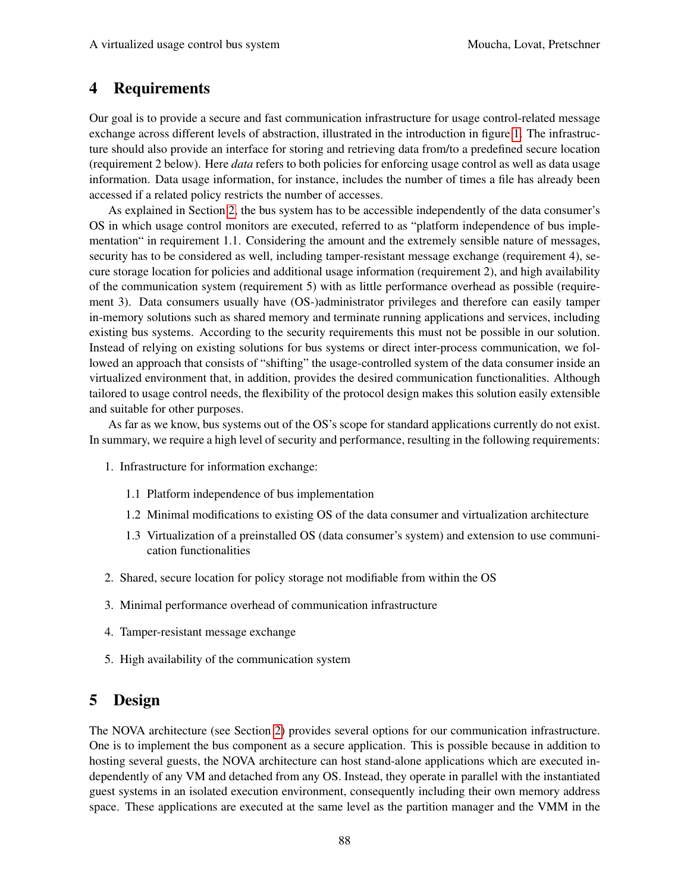## <span id="page-4-0"></span>4 Requirements

Our goal is to provide a secure and fast communication infrastructure for usage control-related message exchange across different levels of abstraction, illustrated in the introduction in figure [1.](#page-2-0) The infrastructure should also provide an interface for storing and retrieving data from/to a predefined secure location (requirement 2 below). Here *data* refers to both policies for enforcing usage control as well as data usage information. Data usage information, for instance, includes the number of times a file has already been accessed if a related policy restricts the number of accesses.

As explained in Section [2,](#page-2-1) the bus system has to be accessible independently of the data consumer's OS in which usage control monitors are executed, referred to as "platform independence of bus implementation" in requirement 1.1. Considering the amount and the extremely sensible nature of messages, security has to be considered as well, including tamper-resistant message exchange (requirement 4), secure storage location for policies and additional usage information (requirement 2), and high availability of the communication system (requirement 5) with as little performance overhead as possible (requirement 3). Data consumers usually have (OS-)administrator privileges and therefore can easily tamper in-memory solutions such as shared memory and terminate running applications and services, including existing bus systems. According to the security requirements this must not be possible in our solution. Instead of relying on existing solutions for bus systems or direct inter-process communication, we followed an approach that consists of "shifting" the usage-controlled system of the data consumer inside an virtualized environment that, in addition, provides the desired communication functionalities. Although tailored to usage control needs, the flexibility of the protocol design makes this solution easily extensible and suitable for other purposes.

As far as we know, bus systems out of the OS's scope for standard applications currently do not exist. In summary, we require a high level of security and performance, resulting in the following requirements:

- 1. Infrastructure for information exchange:
	- 1.1 Platform independence of bus implementation
	- 1.2 Minimal modifications to existing OS of the data consumer and virtualization architecture
	- 1.3 Virtualization of a preinstalled OS (data consumer's system) and extension to use communication functionalities
- 2. Shared, secure location for policy storage not modifiable from within the OS
- 3. Minimal performance overhead of communication infrastructure
- 4. Tamper-resistant message exchange
- 5. High availability of the communication system

## <span id="page-4-1"></span>5 Design

The NOVA architecture (see Section [2\)](#page-2-1) provides several options for our communication infrastructure. One is to implement the bus component as a secure application. This is possible because in addition to hosting several guests, the NOVA architecture can host stand-alone applications which are executed independently of any VM and detached from any OS. Instead, they operate in parallel with the instantiated guest systems in an isolated execution environment, consequently including their own memory address space. These applications are executed at the same level as the partition manager and the VMM in the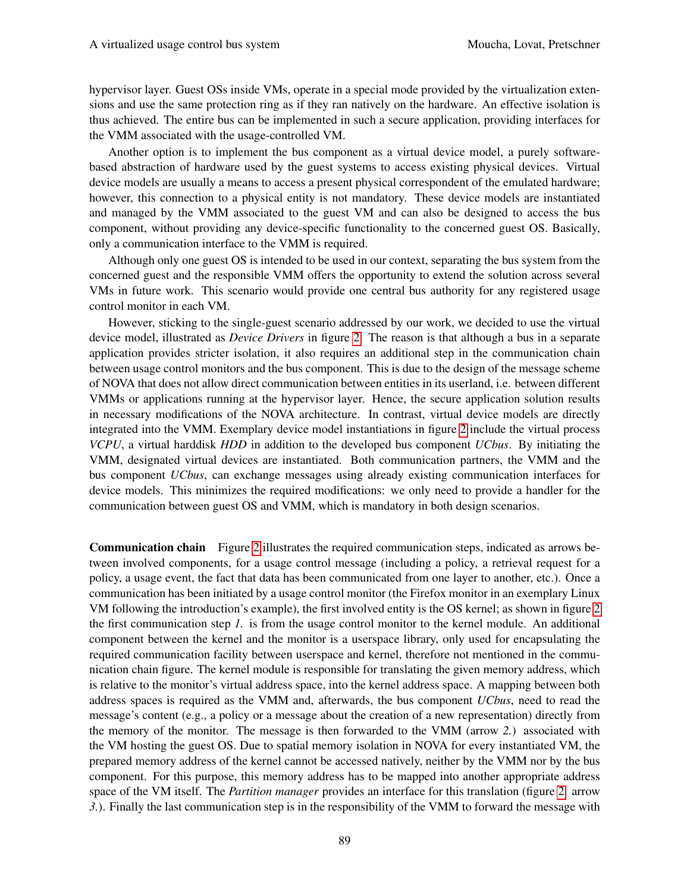hypervisor layer. Guest OSs inside VMs, operate in a special mode provided by the virtualization extensions and use the same protection ring as if they ran natively on the hardware. An effective isolation is thus achieved. The entire bus can be implemented in such a secure application, providing interfaces for the VMM associated with the usage-controlled VM.

Another option is to implement the bus component as a virtual device model, a purely softwarebased abstraction of hardware used by the guest systems to access existing physical devices. Virtual device models are usually a means to access a present physical correspondent of the emulated hardware; however, this connection to a physical entity is not mandatory. These device models are instantiated and managed by the VMM associated to the guest VM and can also be designed to access the bus component, without providing any device-specific functionality to the concerned guest OS. Basically, only a communication interface to the VMM is required.

Although only one guest OS is intended to be used in our context, separating the bus system from the concerned guest and the responsible VMM offers the opportunity to extend the solution across several VMs in future work. This scenario would provide one central bus authority for any registered usage control monitor in each VM.

However, sticking to the single-guest scenario addressed by our work, we decided to use the virtual device model, illustrated as *Device Drivers* in figure [2.](#page-6-0) The reason is that although a bus in a separate application provides stricter isolation, it also requires an additional step in the communication chain between usage control monitors and the bus component. This is due to the design of the message scheme of NOVA that does not allow direct communication between entities in its userland, i.e. between different VMMs or applications running at the hypervisor layer. Hence, the secure application solution results in necessary modifications of the NOVA architecture. In contrast, virtual device models are directly integrated into the VMM. Exemplary device model instantiations in figure [2](#page-6-0) include the virtual process *VCPU*, a virtual harddisk *HDD* in addition to the developed bus component *UCbus*. By initiating the VMM, designated virtual devices are instantiated. Both communication partners, the VMM and the bus component *UCbus*, can exchange messages using already existing communication interfaces for device models. This minimizes the required modifications: we only need to provide a handler for the communication between guest OS and VMM, which is mandatory in both design scenarios.

Communication chain Figure [2](#page-6-0) illustrates the required communication steps, indicated as arrows between involved components, for a usage control message (including a policy, a retrieval request for a policy, a usage event, the fact that data has been communicated from one layer to another, etc.). Once a communication has been initiated by a usage control monitor (the Firefox monitor in an exemplary Linux VM following the introduction's example), the first involved entity is the OS kernel; as shown in figure [2](#page-6-0) the first communication step *1.* is from the usage control monitor to the kernel module. An additional component between the kernel and the monitor is a userspace library, only used for encapsulating the required communication facility between userspace and kernel, therefore not mentioned in the communication chain figure. The kernel module is responsible for translating the given memory address, which is relative to the monitor's virtual address space, into the kernel address space. A mapping between both address spaces is required as the VMM and, afterwards, the bus component *UCbus*, need to read the message's content (e.g., a policy or a message about the creation of a new representation) directly from the memory of the monitor. The message is then forwarded to the VMM (arrow *2.*) associated with the VM hosting the guest OS. Due to spatial memory isolation in NOVA for every instantiated VM, the prepared memory address of the kernel cannot be accessed natively, neither by the VMM nor by the bus component. For this purpose, this memory address has to be mapped into another appropriate address space of the VM itself. The *Partition manager* provides an interface for this translation (figure [2:](#page-6-0) arrow *3.*). Finally the last communication step is in the responsibility of the VMM to forward the message with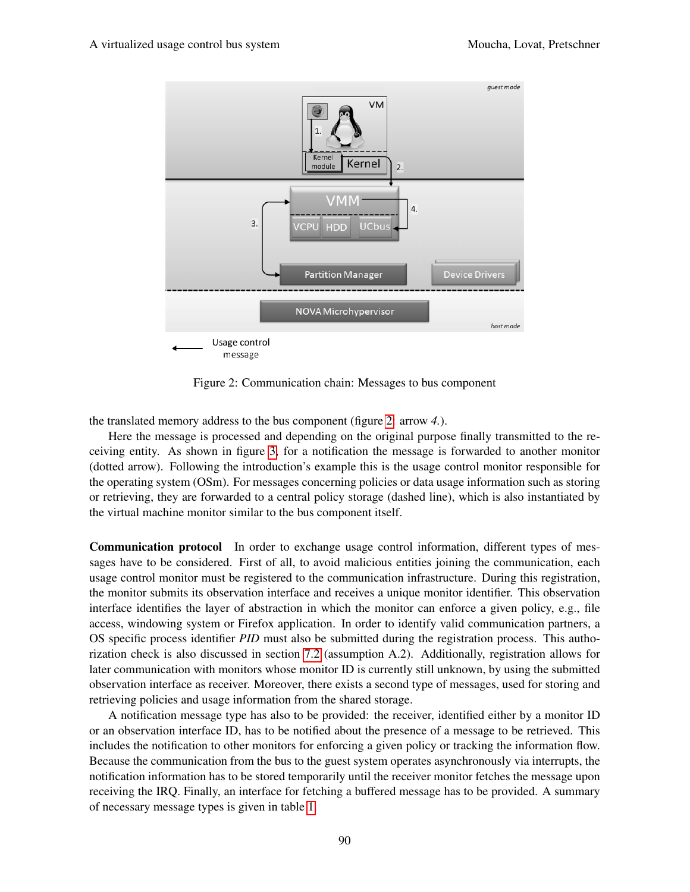

<span id="page-6-0"></span>Figure 2: Communication chain: Messages to bus component

the translated memory address to the bus component (figure [2:](#page-6-0) arrow *4.*).

Here the message is processed and depending on the original purpose finally transmitted to the receiving entity. As shown in figure [3,](#page-7-1) for a notification the message is forwarded to another monitor (dotted arrow). Following the introduction's example this is the usage control monitor responsible for the operating system (OSm). For messages concerning policies or data usage information such as storing or retrieving, they are forwarded to a central policy storage (dashed line), which is also instantiated by the virtual machine monitor similar to the bus component itself.

Communication protocol In order to exchange usage control information, different types of messages have to be considered. First of all, to avoid malicious entities joining the communication, each usage control monitor must be registered to the communication infrastructure. During this registration, the monitor submits its observation interface and receives a unique monitor identifier. This observation interface identifies the layer of abstraction in which the monitor can enforce a given policy, e.g., file access, windowing system or Firefox application. In order to identify valid communication partners, a OS specific process identifier *PID* must also be submitted during the registration process. This authorization check is also discussed in section [7.2](#page-11-0) (assumption A.2). Additionally, registration allows for later communication with monitors whose monitor ID is currently still unknown, by using the submitted observation interface as receiver. Moreover, there exists a second type of messages, used for storing and retrieving policies and usage information from the shared storage.

A notification message type has also to be provided: the receiver, identified either by a monitor ID or an observation interface ID, has to be notified about the presence of a message to be retrieved. This includes the notification to other monitors for enforcing a given policy or tracking the information flow. Because the communication from the bus to the guest system operates asynchronously via interrupts, the notification information has to be stored temporarily until the receiver monitor fetches the message upon receiving the IRQ. Finally, an interface for fetching a buffered message has to be provided. A summary of necessary message types is given in table [1.](#page-7-2)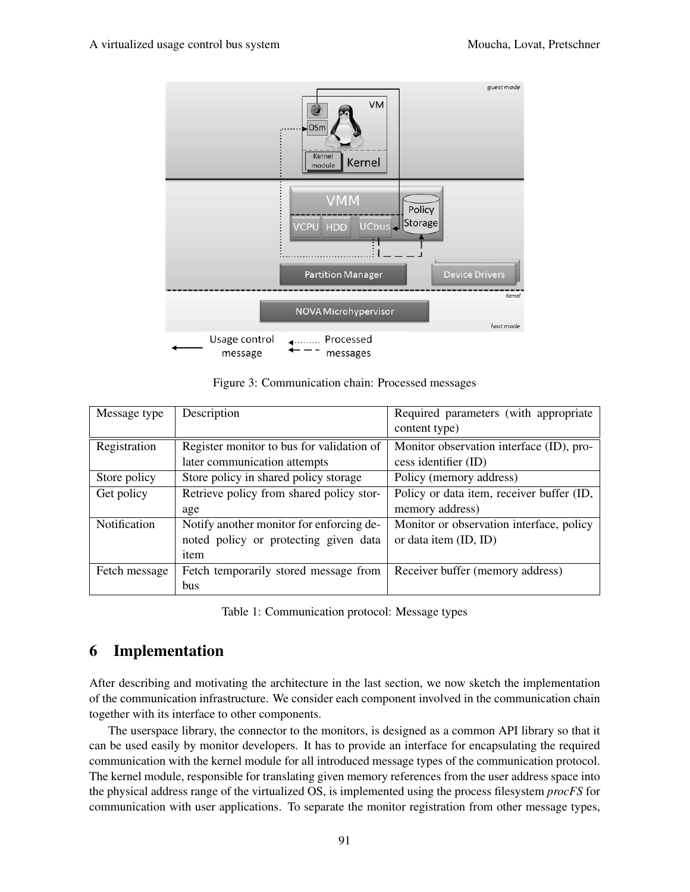

<span id="page-7-1"></span>Figure 3: Communication chain: Processed messages

| Message type  | Description                               | Required parameters (with appropriate     |
|---------------|-------------------------------------------|-------------------------------------------|
|               |                                           | content type)                             |
| Registration  | Register monitor to bus for validation of | Monitor observation interface (ID), pro-  |
|               | later communication attempts              | cess identifier (ID)                      |
| Store policy  | Store policy in shared policy storage     | Policy (memory address)                   |
| Get policy    | Retrieve policy from shared policy stor-  | Policy or data item, receiver buffer (ID, |
|               | age                                       | memory address)                           |
| Notification  | Notify another monitor for enforcing de-  | Monitor or observation interface, policy  |
|               | noted policy or protecting given data     | or data item (ID, ID)                     |
|               | item                                      |                                           |
| Fetch message | Fetch temporarily stored message from     | Receiver buffer (memory address)          |
|               | <b>bus</b>                                |                                           |

<span id="page-7-2"></span>Table 1: Communication protocol: Message types

# <span id="page-7-0"></span>6 Implementation

After describing and motivating the architecture in the last section, we now sketch the implementation of the communication infrastructure. We consider each component involved in the communication chain together with its interface to other components.

The userspace library, the connector to the monitors, is designed as a common API library so that it can be used easily by monitor developers. It has to provide an interface for encapsulating the required communication with the kernel module for all introduced message types of the communication protocol. The kernel module, responsible for translating given memory references from the user address space into the physical address range of the virtualized OS, is implemented using the process filesystem *procFS* for communication with user applications. To separate the monitor registration from other message types,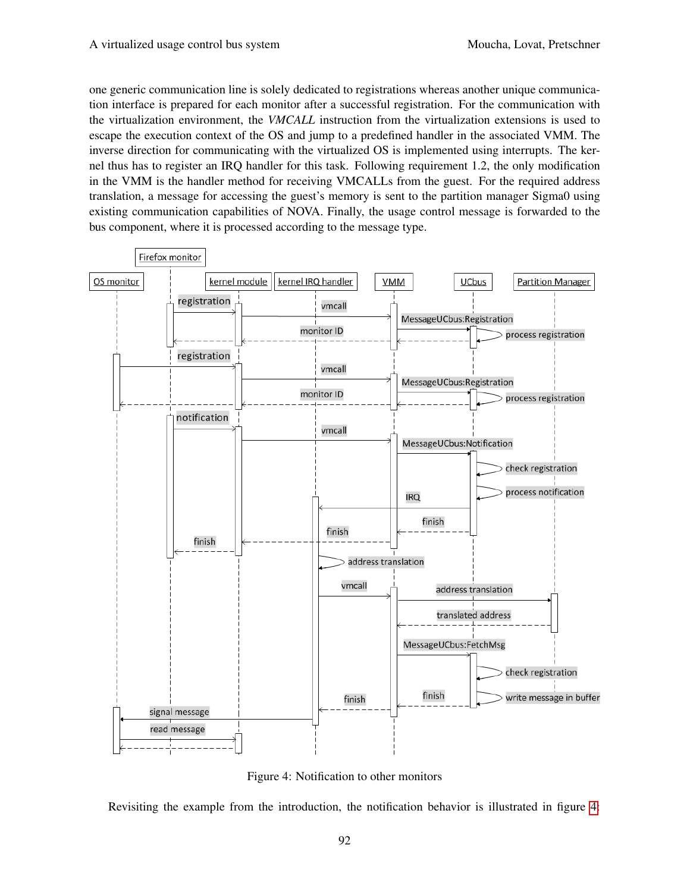one generic communication line is solely dedicated to registrations whereas another unique communication interface is prepared for each monitor after a successful registration. For the communication with the virtualization environment, the *VMCALL* instruction from the virtualization extensions is used to escape the execution context of the OS and jump to a predefined handler in the associated VMM. The inverse direction for communicating with the virtualized OS is implemented using interrupts. The kernel thus has to register an IRQ handler for this task. Following requirement 1.2, the only modification in the VMM is the handler method for receiving VMCALLs from the guest. For the required address translation, a message for accessing the guest's memory is sent to the partition manager Sigma0 using existing communication capabilities of NOVA. Finally, the usage control message is forwarded to the bus component, where it is processed according to the message type.



<span id="page-8-0"></span>Figure 4: Notification to other monitors

Revisiting the example from the introduction, the notification behavior is illustrated in figure [4:](#page-8-0)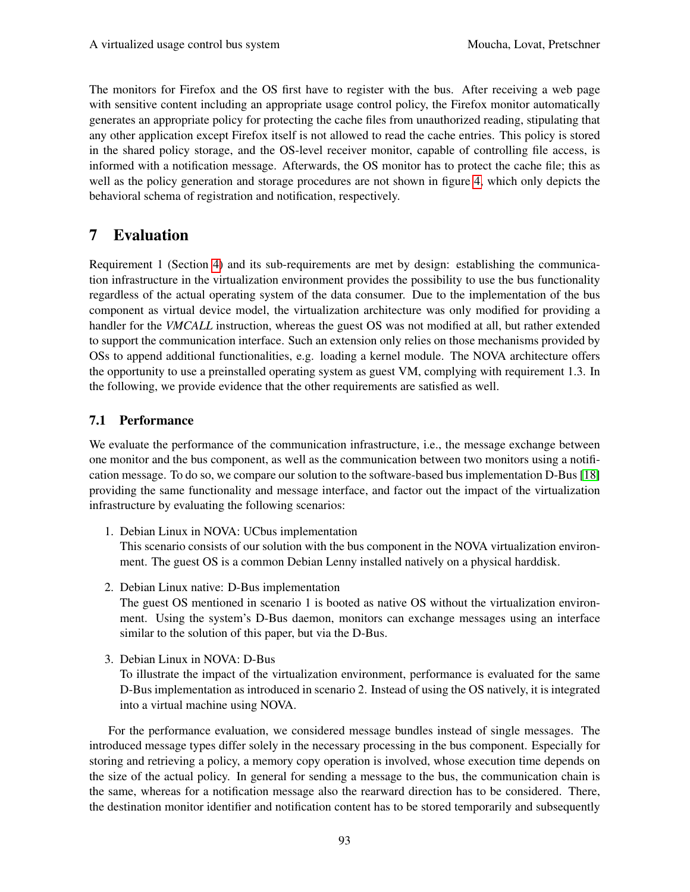The monitors for Firefox and the OS first have to register with the bus. After receiving a web page with sensitive content including an appropriate usage control policy, the Firefox monitor automatically generates an appropriate policy for protecting the cache files from unauthorized reading, stipulating that any other application except Firefox itself is not allowed to read the cache entries. This policy is stored in the shared policy storage, and the OS-level receiver monitor, capable of controlling file access, is informed with a notification message. Afterwards, the OS monitor has to protect the cache file; this as well as the policy generation and storage procedures are not shown in figure [4,](#page-8-0) which only depicts the behavioral schema of registration and notification, respectively.

# <span id="page-9-0"></span>7 Evaluation

Requirement 1 (Section [4\)](#page-4-0) and its sub-requirements are met by design: establishing the communication infrastructure in the virtualization environment provides the possibility to use the bus functionality regardless of the actual operating system of the data consumer. Due to the implementation of the bus component as virtual device model, the virtualization architecture was only modified for providing a handler for the *VMCALL* instruction, whereas the guest OS was not modified at all, but rather extended to support the communication interface. Such an extension only relies on those mechanisms provided by OSs to append additional functionalities, e.g. loading a kernel module. The NOVA architecture offers the opportunity to use a preinstalled operating system as guest VM, complying with requirement 1.3. In the following, we provide evidence that the other requirements are satisfied as well.

## 7.1 Performance

We evaluate the performance of the communication infrastructure, i.e., the message exchange between one monitor and the bus component, as well as the communication between two monitors using a notification message. To do so, we compare our solution to the software-based bus implementation D-Bus [\[18\]](#page-16-13) providing the same functionality and message interface, and factor out the impact of the virtualization infrastructure by evaluating the following scenarios:

1. Debian Linux in NOVA: UCbus implementation

This scenario consists of our solution with the bus component in the NOVA virtualization environment. The guest OS is a common Debian Lenny installed natively on a physical harddisk.

2. Debian Linux native: D-Bus implementation

The guest OS mentioned in scenario 1 is booted as native OS without the virtualization environment. Using the system's D-Bus daemon, monitors can exchange messages using an interface similar to the solution of this paper, but via the D-Bus.

3. Debian Linux in NOVA: D-Bus

To illustrate the impact of the virtualization environment, performance is evaluated for the same D-Bus implementation as introduced in scenario 2. Instead of using the OS natively, it is integrated into a virtual machine using NOVA.

For the performance evaluation, we considered message bundles instead of single messages. The introduced message types differ solely in the necessary processing in the bus component. Especially for storing and retrieving a policy, a memory copy operation is involved, whose execution time depends on the size of the actual policy. In general for sending a message to the bus, the communication chain is the same, whereas for a notification message also the rearward direction has to be considered. There, the destination monitor identifier and notification content has to be stored temporarily and subsequently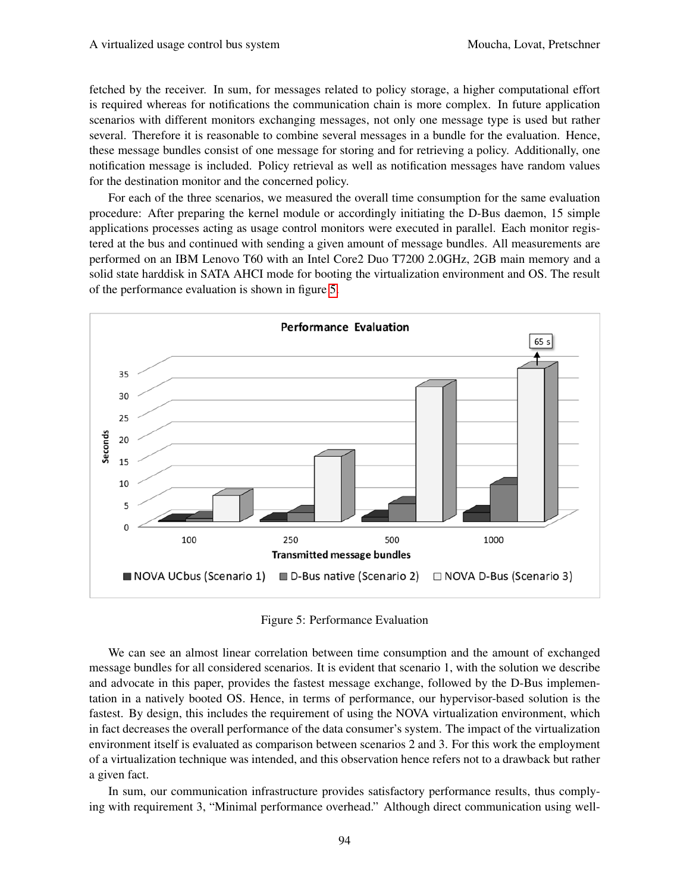fetched by the receiver. In sum, for messages related to policy storage, a higher computational effort is required whereas for notifications the communication chain is more complex. In future application scenarios with different monitors exchanging messages, not only one message type is used but rather several. Therefore it is reasonable to combine several messages in a bundle for the evaluation. Hence, these message bundles consist of one message for storing and for retrieving a policy. Additionally, one notification message is included. Policy retrieval as well as notification messages have random values for the destination monitor and the concerned policy.

For each of the three scenarios, we measured the overall time consumption for the same evaluation procedure: After preparing the kernel module or accordingly initiating the D-Bus daemon, 15 simple applications processes acting as usage control monitors were executed in parallel. Each monitor registered at the bus and continued with sending a given amount of message bundles. All measurements are performed on an IBM Lenovo T60 with an Intel Core2 Duo T7200 2.0GHz, 2GB main memory and a solid state harddisk in SATA AHCI mode for booting the virtualization environment and OS. The result of the performance evaluation is shown in figure [5.](#page-10-0)

![](_page_10_Figure_4.jpeg)

<span id="page-10-0"></span>Figure 5: Performance Evaluation

We can see an almost linear correlation between time consumption and the amount of exchanged message bundles for all considered scenarios. It is evident that scenario 1, with the solution we describe and advocate in this paper, provides the fastest message exchange, followed by the D-Bus implementation in a natively booted OS. Hence, in terms of performance, our hypervisor-based solution is the fastest. By design, this includes the requirement of using the NOVA virtualization environment, which in fact decreases the overall performance of the data consumer's system. The impact of the virtualization environment itself is evaluated as comparison between scenarios 2 and 3. For this work the employment of a virtualization technique was intended, and this observation hence refers not to a drawback but rather a given fact.

In sum, our communication infrastructure provides satisfactory performance results, thus complying with requirement 3, "Minimal performance overhead." Although direct communication using well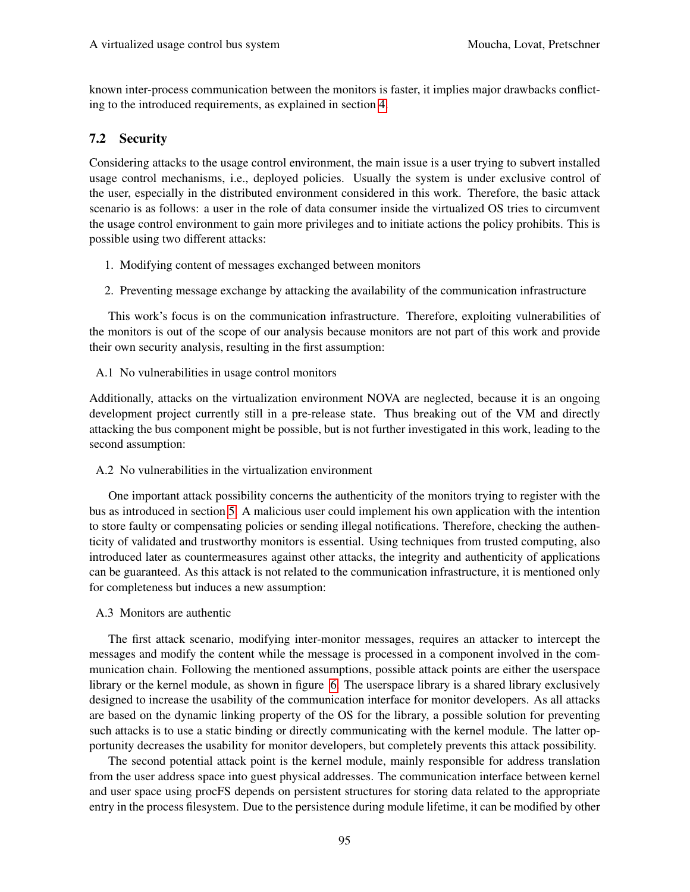known inter-process communication between the monitors is faster, it implies major drawbacks conflicting to the introduced requirements, as explained in section [4.](#page-4-0)

### <span id="page-11-0"></span>7.2 Security

Considering attacks to the usage control environment, the main issue is a user trying to subvert installed usage control mechanisms, i.e., deployed policies. Usually the system is under exclusive control of the user, especially in the distributed environment considered in this work. Therefore, the basic attack scenario is as follows: a user in the role of data consumer inside the virtualized OS tries to circumvent the usage control environment to gain more privileges and to initiate actions the policy prohibits. This is possible using two different attacks:

- 1. Modifying content of messages exchanged between monitors
- 2. Preventing message exchange by attacking the availability of the communication infrastructure

This work's focus is on the communication infrastructure. Therefore, exploiting vulnerabilities of the monitors is out of the scope of our analysis because monitors are not part of this work and provide their own security analysis, resulting in the first assumption:

A.1 No vulnerabilities in usage control monitors

Additionally, attacks on the virtualization environment NOVA are neglected, because it is an ongoing development project currently still in a pre-release state. Thus breaking out of the VM and directly attacking the bus component might be possible, but is not further investigated in this work, leading to the second assumption:

A.2 No vulnerabilities in the virtualization environment

One important attack possibility concerns the authenticity of the monitors trying to register with the bus as introduced in section [5.](#page-4-1) A malicious user could implement his own application with the intention to store faulty or compensating policies or sending illegal notifications. Therefore, checking the authenticity of validated and trustworthy monitors is essential. Using techniques from trusted computing, also introduced later as countermeasures against other attacks, the integrity and authenticity of applications can be guaranteed. As this attack is not related to the communication infrastructure, it is mentioned only for completeness but induces a new assumption:

A.3 Monitors are authentic

The first attack scenario, modifying inter-monitor messages, requires an attacker to intercept the messages and modify the content while the message is processed in a component involved in the communication chain. Following the mentioned assumptions, possible attack points are either the userspace library or the kernel module, as shown in figure [6.](#page-12-0) The userspace library is a shared library exclusively designed to increase the usability of the communication interface for monitor developers. As all attacks are based on the dynamic linking property of the OS for the library, a possible solution for preventing such attacks is to use a static binding or directly communicating with the kernel module. The latter opportunity decreases the usability for monitor developers, but completely prevents this attack possibility.

The second potential attack point is the kernel module, mainly responsible for address translation from the user address space into guest physical addresses. The communication interface between kernel and user space using procFS depends on persistent structures for storing data related to the appropriate entry in the process filesystem. Due to the persistence during module lifetime, it can be modified by other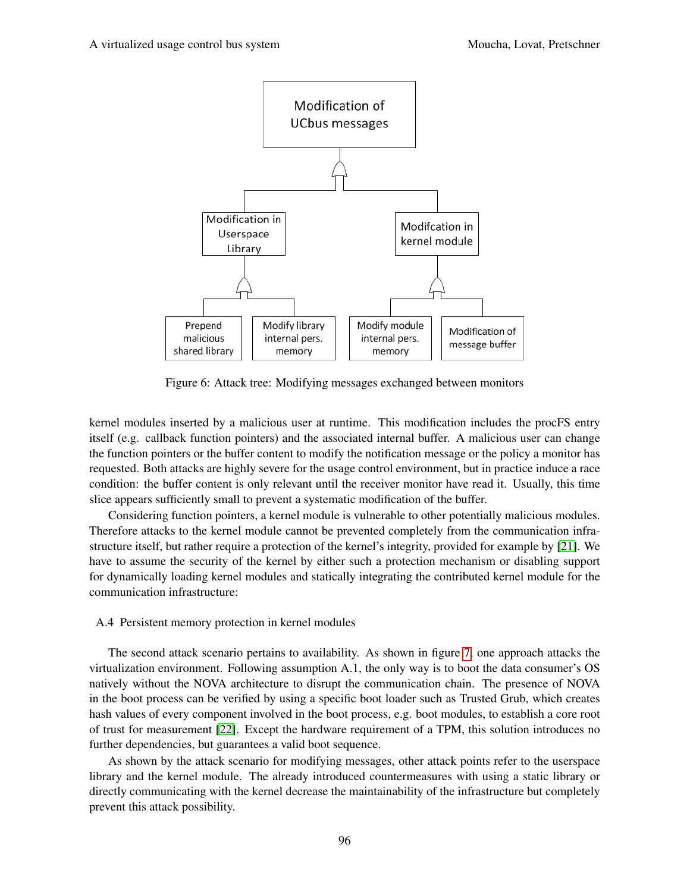![](_page_12_Figure_2.jpeg)

<span id="page-12-0"></span>Figure 6: Attack tree: Modifying messages exchanged between monitors

kernel modules inserted by a malicious user at runtime. This modification includes the procFS entry itself (e.g. callback function pointers) and the associated internal buffer. A malicious user can change the function pointers or the buffer content to modify the notification message or the policy a monitor has requested. Both attacks are highly severe for the usage control environment, but in practice induce a race condition: the buffer content is only relevant until the receiver monitor have read it. Usually, this time slice appears sufficiently small to prevent a systematic modification of the buffer.

Considering function pointers, a kernel module is vulnerable to other potentially malicious modules. Therefore attacks to the kernel module cannot be prevented completely from the communication infrastructure itself, but rather require a protection of the kernel's integrity, provided for example by [\[21\]](#page-16-16). We have to assume the security of the kernel by either such a protection mechanism or disabling support for dynamically loading kernel modules and statically integrating the contributed kernel module for the communication infrastructure:

#### A.4 Persistent memory protection in kernel modules

The second attack scenario pertains to availability. As shown in figure [7,](#page-13-0) one approach attacks the virtualization environment. Following assumption A.1, the only way is to boot the data consumer's OS natively without the NOVA architecture to disrupt the communication chain. The presence of NOVA in the boot process can be verified by using a specific boot loader such as Trusted Grub, which creates hash values of every component involved in the boot process, e.g. boot modules, to establish a core root of trust for measurement [\[22\]](#page-16-17). Except the hardware requirement of a TPM, this solution introduces no further dependencies, but guarantees a valid boot sequence.

As shown by the attack scenario for modifying messages, other attack points refer to the userspace library and the kernel module. The already introduced countermeasures with using a static library or directly communicating with the kernel decrease the maintainability of the infrastructure but completely prevent this attack possibility.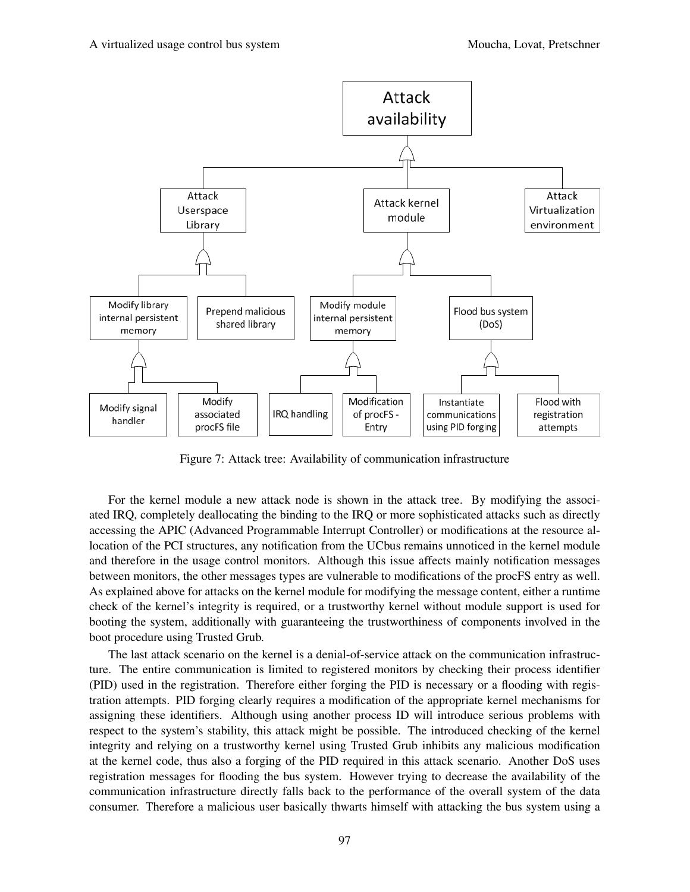![](_page_13_Figure_2.jpeg)

<span id="page-13-0"></span>Figure 7: Attack tree: Availability of communication infrastructure

For the kernel module a new attack node is shown in the attack tree. By modifying the associated IRQ, completely deallocating the binding to the IRQ or more sophisticated attacks such as directly accessing the APIC (Advanced Programmable Interrupt Controller) or modifications at the resource allocation of the PCI structures, any notification from the UCbus remains unnoticed in the kernel module and therefore in the usage control monitors. Although this issue affects mainly notification messages between monitors, the other messages types are vulnerable to modifications of the procFS entry as well. As explained above for attacks on the kernel module for modifying the message content, either a runtime check of the kernel's integrity is required, or a trustworthy kernel without module support is used for booting the system, additionally with guaranteeing the trustworthiness of components involved in the boot procedure using Trusted Grub.

The last attack scenario on the kernel is a denial-of-service attack on the communication infrastructure. The entire communication is limited to registered monitors by checking their process identifier (PID) used in the registration. Therefore either forging the PID is necessary or a flooding with registration attempts. PID forging clearly requires a modification of the appropriate kernel mechanisms for assigning these identifiers. Although using another process ID will introduce serious problems with respect to the system's stability, this attack might be possible. The introduced checking of the kernel integrity and relying on a trustworthy kernel using Trusted Grub inhibits any malicious modification at the kernel code, thus also a forging of the PID required in this attack scenario. Another DoS uses registration messages for flooding the bus system. However trying to decrease the availability of the communication infrastructure directly falls back to the performance of the overall system of the data consumer. Therefore a malicious user basically thwarts himself with attacking the bus system using a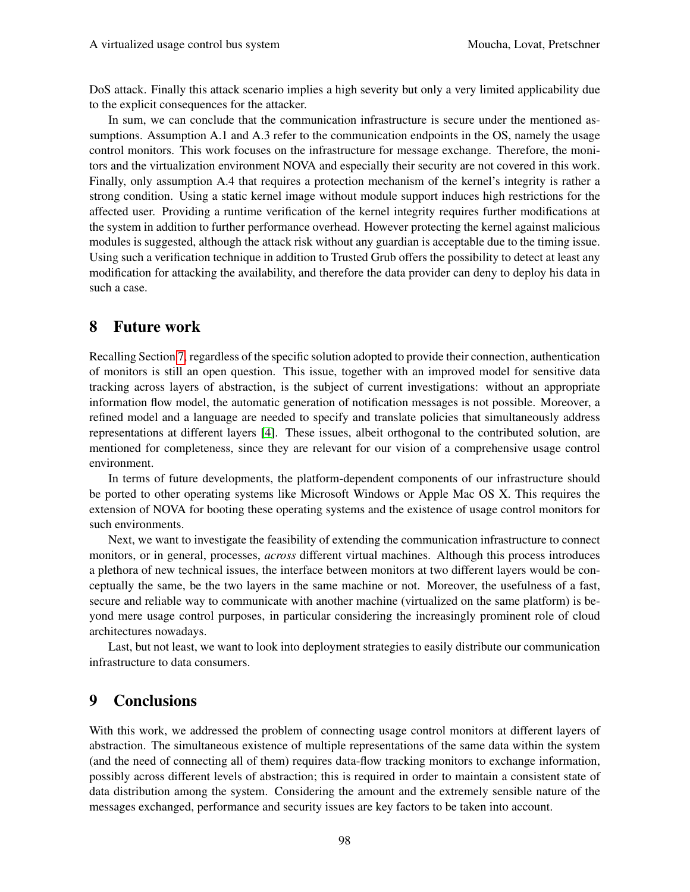DoS attack. Finally this attack scenario implies a high severity but only a very limited applicability due to the explicit consequences for the attacker.

In sum, we can conclude that the communication infrastructure is secure under the mentioned assumptions. Assumption A.1 and A.3 refer to the communication endpoints in the OS, namely the usage control monitors. This work focuses on the infrastructure for message exchange. Therefore, the monitors and the virtualization environment NOVA and especially their security are not covered in this work. Finally, only assumption A.4 that requires a protection mechanism of the kernel's integrity is rather a strong condition. Using a static kernel image without module support induces high restrictions for the affected user. Providing a runtime verification of the kernel integrity requires further modifications at the system in addition to further performance overhead. However protecting the kernel against malicious modules is suggested, although the attack risk without any guardian is acceptable due to the timing issue. Using such a verification technique in addition to Trusted Grub offers the possibility to detect at least any modification for attacking the availability, and therefore the data provider can deny to deploy his data in such a case.

## <span id="page-14-0"></span>8 Future work

Recalling Section [7,](#page-9-0) regardless of the specific solution adopted to provide their connection, authentication of monitors is still an open question. This issue, together with an improved model for sensitive data tracking across layers of abstraction, is the subject of current investigations: without an appropriate information flow model, the automatic generation of notification messages is not possible. Moreover, a refined model and a language are needed to specify and translate policies that simultaneously address representations at different layers [\[4\]](#page-15-2). These issues, albeit orthogonal to the contributed solution, are mentioned for completeness, since they are relevant for our vision of a comprehensive usage control environment.

In terms of future developments, the platform-dependent components of our infrastructure should be ported to other operating systems like Microsoft Windows or Apple Mac OS X. This requires the extension of NOVA for booting these operating systems and the existence of usage control monitors for such environments.

Next, we want to investigate the feasibility of extending the communication infrastructure to connect monitors, or in general, processes, *across* different virtual machines. Although this process introduces a plethora of new technical issues, the interface between monitors at two different layers would be conceptually the same, be the two layers in the same machine or not. Moreover, the usefulness of a fast, secure and reliable way to communicate with another machine (virtualized on the same platform) is beyond mere usage control purposes, in particular considering the increasingly prominent role of cloud architectures nowadays.

Last, but not least, we want to look into deployment strategies to easily distribute our communication infrastructure to data consumers.

## 9 Conclusions

With this work, we addressed the problem of connecting usage control monitors at different layers of abstraction. The simultaneous existence of multiple representations of the same data within the system (and the need of connecting all of them) requires data-flow tracking monitors to exchange information, possibly across different levels of abstraction; this is required in order to maintain a consistent state of data distribution among the system. Considering the amount and the extremely sensible nature of the messages exchanged, performance and security issues are key factors to be taken into account.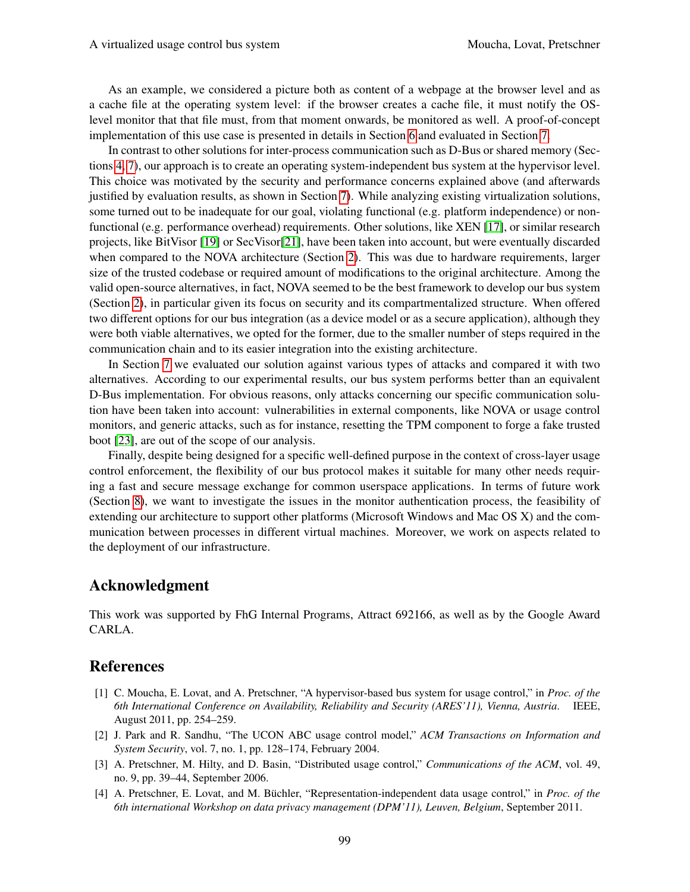As an example, we considered a picture both as content of a webpage at the browser level and as a cache file at the operating system level: if the browser creates a cache file, it must notify the OSlevel monitor that that file must, from that moment onwards, be monitored as well. A proof-of-concept implementation of this use case is presented in details in Section [6](#page-7-0) and evaluated in Section [7.](#page-9-0)

In contrast to other solutions for inter-process communication such as D-Bus or shared memory (Sections [4,](#page-4-0) [7\)](#page-9-0), our approach is to create an operating system-independent bus system at the hypervisor level. This choice was motivated by the security and performance concerns explained above (and afterwards justified by evaluation results, as shown in Section [7\)](#page-9-0). While analyzing existing virtualization solutions, some turned out to be inadequate for our goal, violating functional (e.g. platform independence) or nonfunctional (e.g. performance overhead) requirements. Other solutions, like XEN [\[17\]](#page-16-12), or similar research projects, like BitVisor [\[19\]](#page-16-14) or SecVisor[\[21\]](#page-16-16), have been taken into account, but were eventually discarded when compared to the NOVA architecture (Section [2\)](#page-2-1). This was due to hardware requirements, larger size of the trusted codebase or required amount of modifications to the original architecture. Among the valid open-source alternatives, in fact, NOVA seemed to be the best framework to develop our bus system (Section [2\)](#page-2-1), in particular given its focus on security and its compartmentalized structure. When offered two different options for our bus integration (as a device model or as a secure application), although they were both viable alternatives, we opted for the former, due to the smaller number of steps required in the communication chain and to its easier integration into the existing architecture.

In Section [7](#page-9-0) we evaluated our solution against various types of attacks and compared it with two alternatives. According to our experimental results, our bus system performs better than an equivalent D-Bus implementation. For obvious reasons, only attacks concerning our specific communication solution have been taken into account: vulnerabilities in external components, like NOVA or usage control monitors, and generic attacks, such as for instance, resetting the TPM component to forge a fake trusted boot [\[23\]](#page-16-18), are out of the scope of our analysis.

Finally, despite being designed for a specific well-defined purpose in the context of cross-layer usage control enforcement, the flexibility of our bus protocol makes it suitable for many other needs requiring a fast and secure message exchange for common userspace applications. In terms of future work (Section [8\)](#page-14-0), we want to investigate the issues in the monitor authentication process, the feasibility of extending our architecture to support other platforms (Microsoft Windows and Mac OS X) and the communication between processes in different virtual machines. Moreover, we work on aspects related to the deployment of our infrastructure.

#### Acknowledgment

This work was supported by FhG Internal Programs, Attract 692166, as well as by the Google Award CARLA.

#### References

- <span id="page-15-3"></span>[1] C. Moucha, E. Lovat, and A. Pretschner, "A hypervisor-based bus system for usage control," in *Proc. of the 6th International Conference on Availability, Reliability and Security (ARES'11), Vienna, Austria*. IEEE, August 2011, pp. 254–259.
- <span id="page-15-0"></span>[2] J. Park and R. Sandhu, "The UCON ABC usage control model," *ACM Transactions on Information and System Security*, vol. 7, no. 1, pp. 128–174, February 2004.
- <span id="page-15-1"></span>[3] A. Pretschner, M. Hilty, and D. Basin, "Distributed usage control," *Communications of the ACM*, vol. 49, no. 9, pp. 39–44, September 2006.
- <span id="page-15-2"></span>[4] A. Pretschner, E. Lovat, and M. Büchler, "Representation-independent data usage control," in Proc. of the *6th international Workshop on data privacy management (DPM'11), Leuven, Belgium*, September 2011.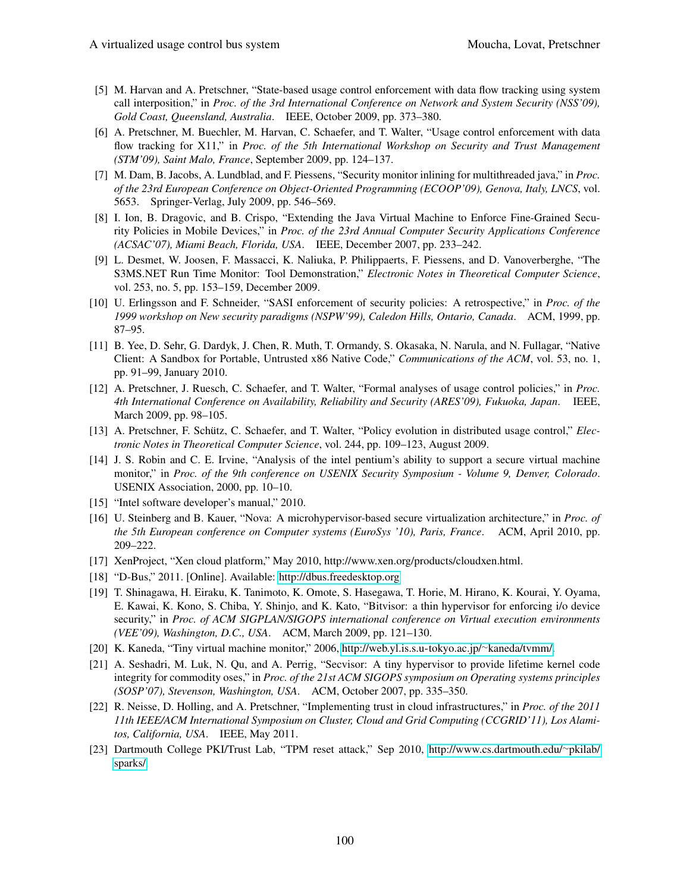- <span id="page-16-0"></span>[5] M. Harvan and A. Pretschner, "State-based usage control enforcement with data flow tracking using system call interposition," in *Proc. of the 3rd International Conference on Network and System Security (NSS'09), Gold Coast, Queensland, Australia*. IEEE, October 2009, pp. 373–380.
- <span id="page-16-1"></span>[6] A. Pretschner, M. Buechler, M. Harvan, C. Schaefer, and T. Walter, "Usage control enforcement with data flow tracking for X11," in *Proc. of the 5th International Workshop on Security and Trust Management (STM'09), Saint Malo, France*, September 2009, pp. 124–137.
- <span id="page-16-2"></span>[7] M. Dam, B. Jacobs, A. Lundblad, and F. Piessens, "Security monitor inlining for multithreaded java," in *Proc. of the 23rd European Conference on Object-Oriented Programming (ECOOP'09), Genova, Italy, LNCS*, vol. 5653. Springer-Verlag, July 2009, pp. 546–569.
- <span id="page-16-3"></span>[8] I. Ion, B. Dragovic, and B. Crispo, "Extending the Java Virtual Machine to Enforce Fine-Grained Security Policies in Mobile Devices," in *Proc. of the 23rd Annual Computer Security Applications Conference (ACSAC'07), Miami Beach, Florida, USA*. IEEE, December 2007, pp. 233–242.
- <span id="page-16-4"></span>[9] L. Desmet, W. Joosen, F. Massacci, K. Naliuka, P. Philippaerts, F. Piessens, and D. Vanoverberghe, "The S3MS.NET Run Time Monitor: Tool Demonstration," *Electronic Notes in Theoretical Computer Science*, vol. 253, no. 5, pp. 153–159, December 2009.
- <span id="page-16-5"></span>[10] U. Erlingsson and F. Schneider, "SASI enforcement of security policies: A retrospective," in *Proc. of the 1999 workshop on New security paradigms (NSPW'99), Caledon Hills, Ontario, Canada*. ACM, 1999, pp. 87–95.
- <span id="page-16-6"></span>[11] B. Yee, D. Sehr, G. Dardyk, J. Chen, R. Muth, T. Ormandy, S. Okasaka, N. Narula, and N. Fullagar, "Native Client: A Sandbox for Portable, Untrusted x86 Native Code," *Communications of the ACM*, vol. 53, no. 1, pp. 91–99, January 2010.
- <span id="page-16-7"></span>[12] A. Pretschner, J. Ruesch, C. Schaefer, and T. Walter, "Formal analyses of usage control policies," in *Proc. 4th International Conference on Availability, Reliability and Security (ARES'09), Fukuoka, Japan*. IEEE, March 2009, pp. 98–105.
- <span id="page-16-8"></span>[13] A. Pretschner, F. Schütz, C. Schaefer, and T. Walter, "Policy evolution in distributed usage control," *Electronic Notes in Theoretical Computer Science*, vol. 244, pp. 109–123, August 2009.
- <span id="page-16-9"></span>[14] J. S. Robin and C. E. Irvine, "Analysis of the intel pentium's ability to support a secure virtual machine monitor," in *Proc. of the 9th conference on USENIX Security Symposium - Volume 9, Denver, Colorado*. USENIX Association, 2000, pp. 10–10.
- <span id="page-16-10"></span>[15] "Intel software developer's manual," 2010.
- <span id="page-16-11"></span>[16] U. Steinberg and B. Kauer, "Nova: A microhypervisor-based secure virtualization architecture," in *Proc. of the 5th European conference on Computer systems (EuroSys '10), Paris, France*. ACM, April 2010, pp. 209–222.
- <span id="page-16-12"></span>[17] XenProject, "Xen cloud platform," May 2010, http://www.xen.org/products/cloudxen.html.
- <span id="page-16-13"></span>[18] "D-Bus," 2011. [Online]. Available:<http://dbus.freedesktop.org>
- <span id="page-16-14"></span>[19] T. Shinagawa, H. Eiraku, K. Tanimoto, K. Omote, S. Hasegawa, T. Horie, M. Hirano, K. Kourai, Y. Oyama, E. Kawai, K. Kono, S. Chiba, Y. Shinjo, and K. Kato, "Bitvisor: a thin hypervisor for enforcing i/o device security," in *Proc. of ACM SIGPLAN/SIGOPS international conference on Virtual execution environments (VEE'09), Washington, D.C., USA*. ACM, March 2009, pp. 121–130.
- <span id="page-16-15"></span>[20] K. Kaneda, "Tiny virtual machine monitor," 2006, [http://web.yl.is.s.u-tokyo.ac.jp/](http://web.yl.is.s.u-tokyo.ac.jp/~kaneda/tvmm/)∼kaneda/tvmm/.
- <span id="page-16-16"></span>[21] A. Seshadri, M. Luk, N. Qu, and A. Perrig, "Secvisor: A tiny hypervisor to provide lifetime kernel code integrity for commodity oses," in *Proc. of the 21st ACM SIGOPS symposium on Operating systems principles (SOSP'07), Stevenson, Washington, USA*. ACM, October 2007, pp. 335–350.
- <span id="page-16-17"></span>[22] R. Neisse, D. Holling, and A. Pretschner, "Implementing trust in cloud infrastructures," in *Proc. of the 2011 11th IEEE/ACM International Symposium on Cluster, Cloud and Grid Computing (CCGRID'11), Los Alamitos, California, USA*. IEEE, May 2011.
- <span id="page-16-18"></span>[23] Dartmouth College PKI/Trust Lab, "TPM reset attack," Sep 2010, [http://www.cs.dartmouth.edu/](http://www.cs.dartmouth.edu/~pkilab/sparks/)∼pkilab/ [sparks/.](http://www.cs.dartmouth.edu/~pkilab/sparks/)